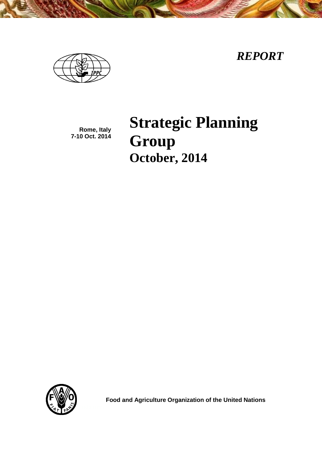*REPORT*

**Rome, Italy 7-10 Oct. 2014** **Strategic Planning Group October, 2014**



 **Food and Agriculture Organization of the United Nations**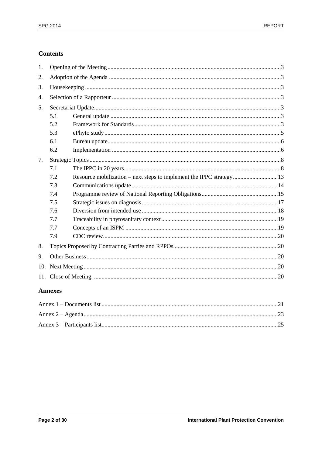# **Contents**

| 1.  |     |                                                                     |  |
|-----|-----|---------------------------------------------------------------------|--|
| 2.  |     |                                                                     |  |
| 3.  |     |                                                                     |  |
| 4.  |     |                                                                     |  |
| 5.  |     |                                                                     |  |
|     | 5.1 |                                                                     |  |
|     | 5.2 |                                                                     |  |
|     | 5.3 |                                                                     |  |
|     | 6.1 |                                                                     |  |
|     | 6.2 |                                                                     |  |
| 7.  |     |                                                                     |  |
| 7.1 |     |                                                                     |  |
|     | 7.2 | Resource mobilization – next steps to implement the IPPC strategy13 |  |
|     | 7.3 |                                                                     |  |
|     | 7.4 |                                                                     |  |
|     | 7.5 |                                                                     |  |
|     | 7.6 |                                                                     |  |
|     | 7.7 |                                                                     |  |
|     | 7.7 |                                                                     |  |
|     | 7.9 |                                                                     |  |
| 8.  |     |                                                                     |  |
| 9.  |     |                                                                     |  |
| 10. |     |                                                                     |  |
|     |     |                                                                     |  |

# **Annexes**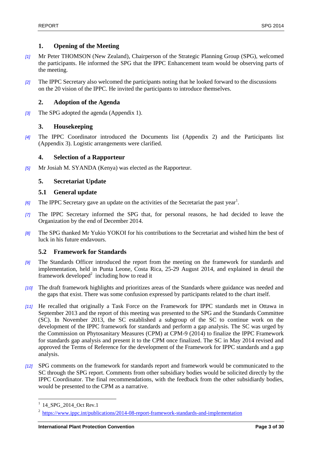# <span id="page-2-0"></span>**1. Opening of the Meeting**

- *[1]* Mr Peter THOMSON (New Zealand), Chairperson of the Strategic Planning Group (SPG), welcomed the participants. He informed the SPG that the IPPC Enhancement team would be observing parts of the meeting.
- *[2]* The IPPC Secretary also welcomed the participants noting that he looked forward to the discussions on the 20 vision of the IPPC. He invited the participants to introduce themselves.

# <span id="page-2-1"></span>**2. Adoption of the Agenda**

*[3]* The SPG adopted the agenda (Appendix 1).

# <span id="page-2-2"></span>**3. Housekeeping**

*[4]* The IPPC Coordinator introduced the Documents list (Appendix 2) and the Participants list (Appendix 3). Logistic arrangements were clarified.

# <span id="page-2-3"></span>**4. Selection of a Rapporteur**

*[5]* Mr Josiah M. SYANDA (Kenya) was elected as the Rapporteur.

# <span id="page-2-4"></span>**5. Secretariat Update**

# <span id="page-2-5"></span>**5.1 General update**

- [6] The IPPC Secretary gave an update on the activities of the Secretariat the past year<sup>1</sup>.
- *[7]* The IPPC Secretary informed the SPG that, for personal reasons, he had decided to leave the Organization by the end of December 2014.
- *[8]* The SPG thanked Mr Yukio YOKOI for his contributions to the Secretariat and wished him the best of luck in his future endavours.

# <span id="page-2-6"></span>**5.2 Framework for Standards**

- *[9]* The Standards Officer introduced the report from the meeting on the framework for standards and implementation, held in Punta Leone, Costa Rica, 25-29 August 2014, and explained in detail the framework developed $2$  including how to read it
- *[10]* The draft framework highlights and prioritizes areas of the Standards where guidance was needed and the gaps that exist. There was some confusion expressed by participants related to the chart itself.
- *[11]* He recalled that originally a Task Force on the Framework for IPPC standards met in Ottawa in September 2013 and the report of this meeting was presented to the SPG and the Standards Committee (SC). In November 2013, the SC established a subgroup of the SC to continue work on the development of the IPPC framework for standards and perform a gap analysis. The SC was urged by the Commission on Phytosanitary Measures (CPM) at CPM-9 (2014) to finalize the IPPC Framework for standards gap analysis and present it to the CPM once finalized. The SC in May 2014 revised and approved the Terms of Reference for the development of the Framework for IPPC standards and a gap analysis.
- *[12]* SPG comments on the framework for standards report and framework would be communicated to the SC through the SPG report. Comments from other subsidiary bodies would be solicited directly by the IPPC Coordinator. The final recommendations, with the feedback from the other subsidiardy bodies, would be presented to the CPM as a narrative.

l <sup>1</sup> 14\_SPG\_2014\_Oct Rev.1

<sup>&</sup>lt;sup>2</sup> <https://www.ippc.int/publications/2014-08-report-framework-standards-and-implementation>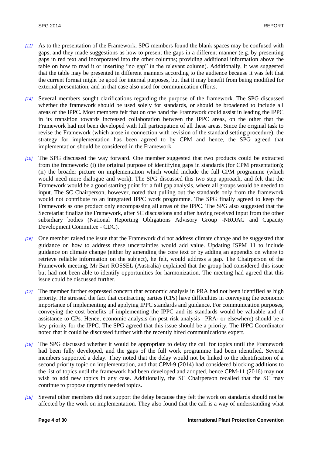- *[13]* As to the presentation of the Framework, SPG members found the blank spaces may be confused with gaps, and they made suggestions as how to present the gaps in a different manner (e.g. by presenting gaps in red text and incorporated into the other columns; providing additional information above the table on how to read it or inserting "no gap" in the relevant column). Additionally, it was suggested that the table may be presented in different manners according to the audience because it was felt that the current format might be good for internal purposes, but that it may benefit from being modified for external presentation, and in that case also used for communication efforts.
- *[14]* Several members sought clarifications regarding the purpose of the framework. The SPG discussed whether the framework should be used solely for standards, or should be broadened to include all areas of the IPPC. Most members felt that on one hand the Framework could assist in leading the IPPC in its transition towards increased collaboration between the IPPC areas, on the other that the Framework had not been developed with full participation of all these areas. Since the original task to revise the Framework (which arose in connection with revision of the standard setting procedure), the strategy for implementation has been agreed to by CPM and hence, the SPG agreed that implementation should be considered in the Framework.
- *[15]* The SPG discussed the way forward. One member suggested that two products could be extracted from the framework: (i) the original purpose of identifying gaps in standards (for CPM presentation); (ii) the broader picture on implementation which would include the full CPM programme (which would need more dialogue and work). The SPG discussed this two step approach, and felt that the Framework would be a good starting point for a full gap analysis, where all groups would be needed to input. The SC Chairperson, however, noted that pulling out the standards only from the framework would not contribute to an integrated IPPC work programme. The SPG finally agreed to keep the Framework as one product only encompassing all areas of the IPPC. The SPG also suggested that the Secretariat finalize the Framework, after SC discussions and after having received input from the other subsidiary bodies (National Reporting Obligations Advisory Group -NROAG and Capacity Development Committee - CDC).
- *[16]* One member raised the issue that the Framework did not address climate change and he suggested that guidance on how to address these uncertainties would add value. Updating ISPM 11 to include guidance on climate change (either by amending the core text or by adding an appendix on where to retrieve reliable information on the subject), he felt, would address a gap. The Chairperson of the Framework meeting, Mr Bart ROSSEL (Australia) explained that the group had considered this issue but had not been able to identify opportunities for harmonization. The meeting had agreed that this issue could be discussed further.
- *[17]* The member further expressed concern that economic analysis in PRA had not been identified as high priority. He stressed the fact that contracting parties (CPs) have difficulties in conveying the economic importance of implementing and applying IPPC standards and guidance. For communication purposes, conveying the cost benefits of implementing the IPPC and its standards would be valuable and of assistance to CPs. Hence, economic analysis (in pest risk analysis –PRA- or elsewhere) should be a key priority for the IPPC. The SPG agreed that this issue should be a priority. The IPPC Coordinator noted that it could be discussed further with the recently hired communications expert.
- *[18]* The SPG discussed whether it would be appropriate to delay the call for topics until the Framework had been fully developed, and the gaps of the full work programme had been identified. Several members supported a delay. They noted that the delay would not be linked to the identification of a second priority topic on implementation, and that CPM-9 (2014) had considered blocking additions to the list of topics until the framework had been developed and adopted, hence CPM-11 (2016) may not wish to add new topics in any case. Additionally, the SC Chairperson recalled that the SC may continue to propose urgently needed topics.
- *[19]* Several other members did not support the delay because they felt the work on standards should not be affected by the work on implementation. They also found that the call is a way of understanding what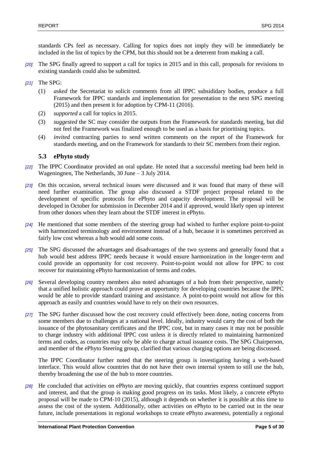standards CPs feel as necessary. Calling for topics does not imply they will be immediately be included in the list of topics by the CPM, but this should not be a deterrent from making a call.

- *[20]* The SPG finally agreed to support a call for topics in 2015 and in this call, proposals for revisions to existing standards could also be submitted.
- *[21]* The SPG:
	- (1) *asked* the Secretariat to solicit comments from all IPPC subsididary bodies, produce a full Framework for IPPC standards and implementation for presentation to the next SPG meeting (2015) and then present it for adoption by CPM-11 (2016).
	- (2) *supported* a call for topics in 2015.
	- (3) *suggested* the SC may consider the outputs from the Framework for standards meeting, but did not feel the Framework was finalized enough to be used as a basis for prioritising topics.
	- (4) *invited* contracting parties to send written comments on the report of the Framework for standards meeting, and on the Framework for standards to their SC members from their region.

## <span id="page-4-0"></span>**5.3 ePhyto study**

- *[22]* The IPPC Coordinator provided an oral update. He noted that a successful meeting had been held in Wageningnen, The Netherlands, 30 June – 3 July 2014.
- *[23]* On this occasion, several technical issues were discussed and it was found that many of these will need further examination. The group also discussed a STDF project proposal related to the development of specific protocols for ePhyto and capacity development. The proposal will be developed in October for submission in December 2014 and if approved, would likely open up interest from other donors when they learn about the STDF interest in ePhyto.
- *[24]* He mentioned that some members of the steering group had wished to further explore point-to-point with harmonized terminology and environment instead of a hub, because it is sometimes perceived as fairly low cost whereas a hub would add some costs.
- *[25]* The SPG discussed the advantages and disadvantages of the two systems and generally found that a hub would best address IPPC needs because it would ensure harmonization in the longer-term and could provide an opportunity for cost recovery. Point-to-point would not allow for IPPC to cost recover for maintaining ePhyto harmonization of terms and codes.
- *[26]* Several developing country members also noted advantages of a hub from their perspective, namely that a unified holistic approach could prove an opportunity for developing countries because the IPPC would be able to provide standard training and assistance. A point-to-point would not allow for this approach as easily and countries would have to rely on their own resources.
- *[27]* The SPG further discussed how the cost recovery could effectively been done, noting concerns from some members due to challenges at a national level. Ideally, industry would carry the cost of both the issuance of the phytosanitary certificates and the IPPC cost, but in many cases it may not be possible to charge industry with additional IPPC cost unless it is directly related to maintaining harmonized terms and codes, as countries may only be able to charge actual issuance costs. The SPG Chairperson, and member of the ePhyto Steering group, clarified that various charging options are being discussed.

The IPPC Coordinator further noted that the steering group is investigating having a web-based interface. This would allow countries that do not have their own internal system to still use the hub, thereby broadening the use of the hub to more countries.

*[28]* He concluded that activities on ePhyto are moving quickly, that countries express continued support and interest, and that the group is making good progress on its tasks. Most likely, a concrete ePhyto proposal will be made to CPM-10 (2015), although it depends on whether it is possible at this time to assess the cost of the system. Additionally, other activities on ePhyto to be carried out in the near future, include presentations in regional workshops to create ePhyto awareness, potentially a regional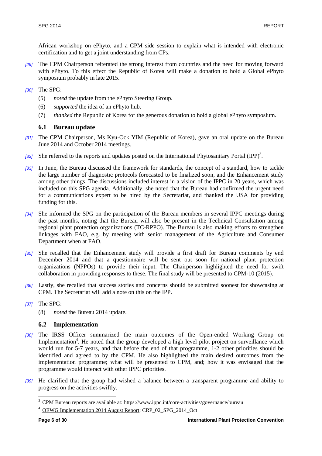African workshop on ePhyto, and a CPM side session to explain what is intended with electronic certification and to get a joint understanding from CPs.

- *[29]* The CPM Chairperson reiterated the strong interest from countries and the need for moving forward with ePhyto. To this effect the Republic of Korea will make a donation to hold a Global ePhyto symposium probably in late 2015.
- *[30]* The SPG:
	- (5) *noted* the update from the ePhyto Steering Group.
	- (6) *supported* the idea of an ePhyto hub.
	- (7) *thanked* the Republic of Korea for the generous donation to hold a global ePhyto symposium.

# <span id="page-5-0"></span>**6.1 Bureau update**

- *[31]* The CPM Chairperson, Ms Kyu-Ock YIM (Republic of Korea), gave an oral update on the Bureau June 2014 and October 2014 meetings.
- [32] She referred to the reports and updates posted on the International Phytosanitary Portal (IPP)<sup>3</sup>.
- *[33]* In June, the Bureau discussed the framework for standards, the concept of a standard, how to tackle the large number of diagnostic protocols forecasted to be finalized soon, and the Enhancement study among other things. The discussions included interest in a vision of the IPPC in 20 years, which was included on this SPG agenda. Additionally, she noted that the Bureau had confirmed the urgent need for a communications expert to be hired by the Secretariat, and thanked the USA for providing funding for this.
- *[34]* She informed the SPG on the participation of the Bureau members in several IPPC meetings during the past months, noting that the Bureau will also be present in the Technical Consultation among regional plant protection organizations (TC-RPPO). The Bureau is also making efforts to strengthen linkages with FAO, e.g. by meeting with senior management of the Agriculture and Consumer Department when at FAO.
- *[35]* She recalled that the Enhancement study will provide a first draft for Bureau comments by end December 2014 and that a questionnaire will be sent out soon for national plant protection organizations (NPPOs) to provide their input. The Chairperson highlighted the need for swift collaboration in providing responses to these. The final study will be presented to CPM-10 (2015).
- *[36]* Lastly, she recalled that success stories and concerns should be submitted soonest for showcasing at CPM. The Secretariat will add a note on this on the IPP.
- *[37]* The SPG:
	- (8) *noted* the Bureau 2014 update.

# <span id="page-5-1"></span>**6.2 Implementation**

- *[38]* The IRSS Officer summarized the main outcomes of the Open-ended Working Group on Implementation<sup>4</sup>. He noted that the group developed a high level pilot project on surveillance which would run for 5-7 years, and that before the end of that programme, 1-2 other priorities should be identified and agreed to by the CPM. He also highlighted the main desired outcomes from the implementation programme; what will be presented to CPM, and; how it was envisaged that the programme would interact with other IPPC priorities.
- *[39]* He clarified that the group had wished a balance between a transparent programme and ability to progress on the activities swiftly.

l

<sup>&</sup>lt;sup>3</sup> CPM Bureau reports are available at: https://www.ippc.int/core-activities/governance/bureau

<sup>&</sup>lt;sup>4</sup> [OEWG Implementation 2014 August Report;](https://www.ippc.int/publications/report-open-ended-working-group-implementation-2014) CRP\_02\_SPG\_2014\_Oct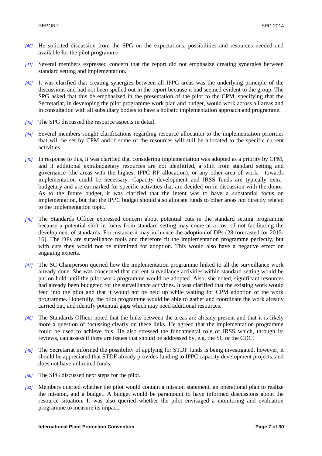- *[40]* He solicited discussion from the SPG on the expectations, possibilities and resources needed and available for the pilot programme.
- *[41]* Several members expressed concern that the report did not emphasize creating synergies between standard setting and implementation.
- *[42]* It was clarified that creating synergies between all IPPC areas was the underlying principle of the discussions and had not been spelled out in the report because it had seemed evident to the group. The SPG asked that this be emphasized in the presentation of the pilot to the CPM, specifying that the Secretariat, in developing the pilot programme work plan and budget, would work across all areas and in consultation with all subsidiary bodies to have a holistic implementation approach and programme.
- *[43]* The SPG discussed the resource aspects in detail.
- *[44]* Several members sought clarifications regarding resource allocation to the implementation priorities that will be set by CPM and if some of the resources will still be allocated to the specific current activities.
- *[45]* In response to this, it was clarified that considering implementation was adopted as a priority by CPM, and if additional extrabudgetary resources are not idenfitifed, a shift from standard setting and governance (the areas with the highest IPPC RP allocation), or any other area of work, towards implementation could be necessary. Capacity development and IRSS funds are typically extrabudgetary and are earmarked for specific activities that are decided on in discussion with the donor. As to the future budget, it was clarified that the intent was to have a substantial focus on implementation, but that the IPPC budget should also allocate funds to other areas not directly related to the implementation topic.
- *[46]* The Standards Officer expressed concern about potential cuts in the standard setting programme because a potential shift in focus from standard setting may come at a cost of not facilitating the development of standards. For instance it may influence the adoption of DPs (28 forecasted for 2015- 16). The DPs are surveillance tools and therefore fit the implementation programme perfectly, but with cuts they would not be submitted for adoption. This would also have a negative effect on engaging experts.
- *[47]* The SC Chairperson queried how the implementation programme linked to all the surveillance work already done. She was concerned that current surveillance activities within standard setting would be put on hold until the pilot work programme would be adopted. Also, she noted, significant resources had already been budgeted for the surveillance activities. It was clarified that the existing work would feed into the pilot and that it would not be held up while waiting for CPM adoption of the work programme. Hopefully, the pilot programme would be able to gather and coordinate the work already carried out, and identify potential gaps which may need additional resources.
- *[48]* The Standards Officer noted that the links between the areas are already present and that it is likely more a question of focussing clearly on these links. He agreed that the implementation programme could be used to achieve this. He also stressed the fundamental role of IRSS which, through its reviews, can assess if there are issues that should be addressed by, e.g. the SC or the CDC.
- *[49]* The Secretariat informed the possibility of applying for STDF funds is being investigated, however, it should be appreciated that STDF already provides funding to IPPC capacity development projects, and does not have unlimited funds.
- *[50]* The SPG discussed next steps for the pilot.
- *[51]* Members queried whether the pilot would contain a mission statement, an operational plan to realize the mission, and a budget. A budget would be paramount to have informed discussions about the resource situation. It was also queried whether the pilot envisaged a monitoring and evaluation programme to measure its impact.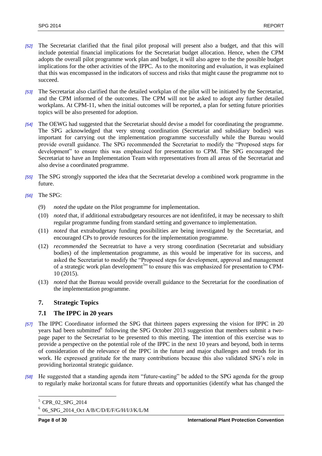- *[52]* The Secretariat clarified that the final pilot proposal will present also a budget, and that this will include potential financial implications for the Secretariat budget allocation. Hence, when the CPM adopts the overall pilot programme work plan and budget, it will also agree to the the possible budget implications for the other activities of the IPPC. As to the monitoring and evaluation, it was explained that this was encompassed in the indicators of success and risks that might cause the programme not to succeed.
- *[53]* The Secretariat also clarified that the detailed workplan of the pilot will be initiated by the Secretariat, and the CPM informed of the outcomes. The CPM will not be asked to adopt any further detailed workplans. At CPM-11, when the initial outcomes will be reported, a plan for setting future priorities topics will be also presented for adoption.
- *[54]* The OEWG had suggested that the Secretariat should devise a model for coordinating the programme. The SPG acknowledged that very strong coordination (Secretariat and subsidiary bodies) was important for carrying out the implementation programme successfully while the Bureau would provide overall guidance. The SPG recommended the Secretariat to modify the "Proposed steps for development" to ensure this was emphasized for presentation to CPM. The SPG encouraged the Secretariat to have an Implementation Team with representatives from all areas of the Secretariat and also devise a coordinated programme.
- *[55]* The SPG strongly supported the idea that the Secretariat develop a combined work programme in the future.
- *[56]* The SPG:
	- (9) *noted* the update on the Pilot programme for implementation.
	- (10) *noted* that, if additional extrabudgetary resources are not idenfitifed, it may be necessary to shift regular programme funding from standard setting and governance to implementation.
	- (11) *noted* that extrabudgetary funding possibilities are being investigated by the Secretariat, and encouraged CPs to provide resources for the implementation programme.
	- (12) *recommended* the Secreatriat to have a very strong coordination (Secretariat and subsidiary bodies) of the implementation programme, as this would be imperative for its success, and asked the Secretariat to modify the "Proposed steps for development, approval and management of a strategic work plan development<sup>5</sup><sup>3</sup> to ensure this was emphasized for presentation to CPM-10 (2015).
	- (13) *noted* that the Bureau would provide overall guidance to the Secretariat for the coordination of the implementation programme.

# <span id="page-7-0"></span>**7. Strategic Topics**

# <span id="page-7-1"></span>**7.1 The IPPC in 20 years**

- *[57]* The IPPC Coordinator informed the SPG that thirteen papers expressing the vision for IPPC in 20 years had been submitted following the SPG October 2013 suggestion that members submit a twopage paper to the Secretariat to be presented to this meeting. The intention of this exercise was to provide a perspective on the potential role of the IPPC in the next 10 years and beyond, both in terms of consideration of the relevance of the IPPC in the future and major challenges and trends for its work. He expressed gratitude for the many contributions because this also validated SPG's role in providing horizontal strategic guidance.
- *[58]* He suggested that a standing agenda item "future-casting" be added to the SPG agenda for the group to regularly make horizontal scans for future threats and opportunities (identify what has changed the

l

<sup>5</sup> CPR\_02\_SPG\_2014

<sup>6</sup> 06\_SPG\_2014\_Oct A/B/C/D/E/F/G/H/I/J/K/L/M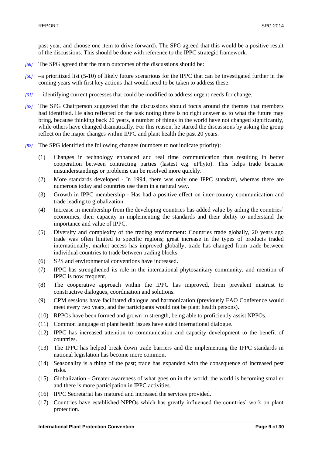past year, and choose one item to drive forward). The SPG agreed that this would be a positive result of the discussions. This should be done with reference to the IPPC strategic framework.

- *[59]* The SPG agreed that the main outcomes of the discussions should be:
- *[60]* –a prioritized list (5-10) of likely future scenarious for the IPPC that can be investigated further in the coming years with first key actions that would need to be taken to address these.
- *[61]* identifying current processes that could be modified to address urgent needs for change.
- *[62]* The SPG Chairperson suggested that the discussions should focus around the themes that members had identified. He also reflected on the task noting there is no right answer as to what the future may bring, because thinking back 20 years, a number of things in the world have not changed significantly, while others have changed dramatically. For this reason, he started the discussions by asking the group reflect on the major changes within IPPC and plant health the past 20 years.
- *[63]* The SPG identified the following changes (numbers to not indicate priority):
	- (1) Changes in technology enhanced and real time communication thus resulting in better cooperation between contracting parties (lastest e.g. ePhyto). This helps trade because misunderstandings or problems can be resolved more quickly.
	- (2) More standards developed In 1994, there was only one IPPC standard, whereas there are numerous today and countries use them in a natural way.
	- (3) Growth in IPPC membership Has had a positive effect on inter-country communication and trade leading to globalization.
	- (4) Increase in membership from the developing countries has added value by aiding the countries' economies, their capacity in implementing the standards and their ability to understand the importance and value of IPPC.
	- (5) Diversity and complexity of the trading environment: Countries trade globally, 20 years ago trade was often limited to specific regions; great increase in the types of products traded internationally; market access has improved globally; trade has changed from trade between individual countries to trade between trading blocks.
	- (6) SPS and environmental conventions have increased.
	- (7) IPPC has strengthened its role in the international phytosanitary community, and mention of IPPC is now frequent.
	- (8) The cooperative approach within the IPPC has improved, from prevalent mistrust to constructive dialogues, coordination and solutions.
	- (9) CPM sessions have facilitated dialogue and harmonization (previously FAO Conference would meet every two years, and the participants would not be plant health persons).
	- (10) RPPOs have been formed and grown in strength, being able to proficiently assist NPPOs.
	- (11) Common language of plant health issues have aided international dialogue.
	- (12) IPPC has increased attention to communication and capacity development to the benefit of countries.
	- (13) The IPPC has helped break down trade barriers and the implementing the IPPC standards in national legislation has become more common.
	- (14) Seasonality is a thing of the past; trade has expanded with the consequence of increased pest risks.
	- (15) Globalization Greater awareness of what goes on in the world; the world is becoming smaller and there is more participation in IPPC activities.
	- (16) IPPC Secretariat has matured and increased the services provided.
	- (17) Countries have established NPPOs which has greatly influenced the countries' work on plant protection.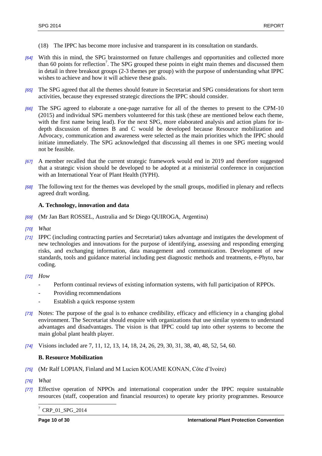- (18) The IPPC has become more inclusive and transparent in its consultation on standards.
- *[64]* With this in mind, the SPG brainstormed on future challenges and opportunities and collected more than 60 points for reflection<sup>7</sup>. The SPG grouped these points in eight main themes and discussed them in detail in three breakout groups (2-3 themes per group) with the purpose of understanding what IPPC wishes to achieve and how it will achieve these goals.
- *[65]* The SPG agreed that all the themes should feature in Secretariat and SPG considerations for short term activities, because they expressed strategic directions the IPPC should consider.
- *[66]* The SPG agreed to elaborate a one-page narrative for all of the themes to present to the CPM-10 (2015) and individual SPG members volunteered for this task (these are mentioned below each theme, with the first name being lead). For the next SPG, more elaborated analysis and action plans for indepth discussion of themes B and C would be developed because Resource mobilization and Advocacy, communication and awareness were selected as the main priorities which the IPPC should initiate immediately. The SPG acknowledged that discussing all themes in one SPG meeting would not be feasible.
- *[67]* A member recalled that the current strategic framework would end in 2019 and therefore suggested that a strategic vision should be developed to be adopted at a ministerial conference in conjunction with an International Year of Plant Health (IYPH).
- *[68]* The following text for the themes was developed by the small groups, modified in plenary and reflects agreed draft wording.

## **A. Technology, innovation and data**

- *[69]* (Mr Jan Bart ROSSEL, Australia and Sr Diego QUIROGA, Argentina)
- *[70] What*
- *[71]* IPPC (including contracting parties and Secretariat) takes advantage and instigates the development of new technologies and innovations for the purpose of identifying, assessing and responding emerging risks, and exchanging information, data management and communication. Development of new standards, tools and guidance material including pest diagnostic methods and treatments, e-Phyto, bar coding.
- *[72] How*
	- Perform continual reviews of existing information systems, with full participation of RPPOs.
	- Providing recommendations
	- Establish a quick response system
- *[73]* Notes: The purpose of the goal is to enhance credibility, efficacy and efficiency in a changing global environment. The Secretariat should enquire with organizations that use similar systems to understand advantages and disadvantages. The vision is that IPPC could tap into other systems to become the main global plant health player.
- *[74]* Visions included are 7, 11, 12, 13, 14, 18, 24, 26, 29, 30, 31, 38, 40, 48, 52, 54, 60.

## **B. Resource Mobilization**

- *[75]* (Mr Ralf LOPIAN, Finland and M Lucien KOUAME KONAN, Côte d'Ivoire)
- *[76] What*

l

*[77]* Effective operation of NPPOs and international cooperation under the IPPC require sustainable resources (staff, cooperation and financial resources) to operate key priority programmes. Resource

<sup>7</sup> CRP\_01\_SPG\_2014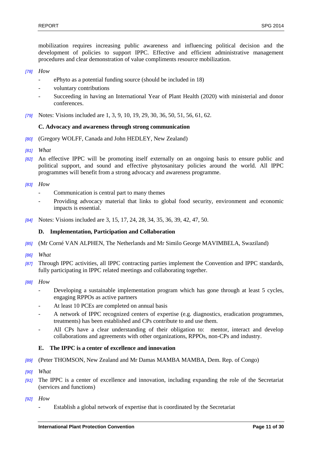mobilization requires increasing public awareness and influencing political decision and the development of policies to support IPPC. Effective and efficient administrative management procedures and clear demonstration of value compliments resource mobilization.

### *[78] How*

- ePhyto as a potential funding source (should be included in 18)
- voluntary contributions
- Succeeding in having an International Year of Plant Health (2020) with ministerial and donor conferences.
- *[79]* Notes: Visions included are 1, 3, 9, 10, 19, 29, 30, 36, 50, 51, 56, 61, 62.

## **C. Advocacy and awareness through strong communication**

- *[80]* (Gregory WOLFF, Canada and John HEDLEY, New Zealand)
- *[81] What*
- *[82]* An effective IPPC will be promoting itself externally on an ongoing basis to ensure public and political support, and sound and effective phytosanitary policies around the world. All IPPC programmes will benefit from a strong advocacy and awareness programme.

#### *[83] How*

- Communication is central part to many themes
- Providing advocacy material that links to global food security, environment and economic impacts is essential.
- *[84]* Notes: Visions included are 3, 15, 17, 24, 28, 34, 35, 36, 39, 42, 47, 50.

## **D. Implementation, Participation and Collaboration**

- *[85]* (Mr Corné VAN ALPHEN, The Netherlands and Mr Similo George MAVIMBELA, Swaziland)
- *[86] What*
- *[87]* Through IPPC activities, all IPPC contracting parties implement the Convention and IPPC standards, fully participating in IPPC related meetings and collaborating together.
- *[88] How*
	- Developing a sustainable implementation program which has gone through at least 5 cycles, engaging RPPOs as active partners
	- At least 10 PCEs are completed on annual basis
	- A network of IPPC recognized centers of expertise (e.g. diagnostics, eradication programmes, treatments) has been established and CPs contribute to and use them.
	- All CPs have a clear understanding of their obligation to: mentor, interact and develop collaborations and agreements with other organizations, RPPOs, non-CPs and industry.

#### **E. The IPPC is a center of excellence and innovation**

- *[89]* (Peter THOMSON, New Zealand and Mr Damas MAMBA MAMBA, Dem. Rep. of Congo)
- *[90] What*
- *[91]* The IPPC is a center of excellence and innovation, including expanding the role of the Secretariat (services and functions)
- *[92] How* 
	- Establish a global network of expertise that is coordinated by the Secretariat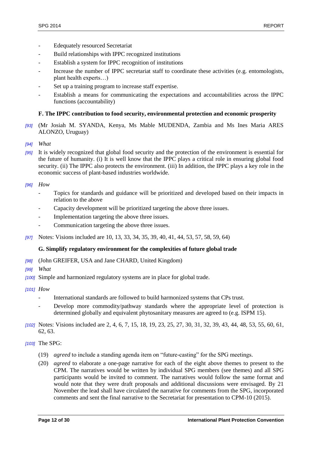- Edequately resourced Secretariat
- Build relationships with IPPC recognized institutions
- Establish a system for IPPC recognition of institutions
- Increase the number of IPPC secretariat staff to coordinate these activities (e.g. entomologists, plant health experts…)
- Set up a training program to increase staff expertise.
- Establish a means for communicating the expectations and accountabilities across the IPPC functions (accountability)

# **F. The IPPC contribution to food security, environmental protection and economic prosperity**

- *[93]* (Mr Josiah M. SYANDA, Kenya, Ms Mable MUDENDA, Zambia and Ms Ines Maria ARES ALONZO, Uruguay)
- *[94] What*
- *[95]* It is widely recognized that global food security and the protection of the environment is essential for the future of humanity. (i) It is well know that the IPPC plays a critical role in ensuring global food security. (ii) The IPPC also protects the environment. (iii) In addition, the IPPC plays a key role in the economic success of plant-based industries worldwide.

## *[96] How*

- Topics for standards and guidance will be prioritized and developed based on their impacts in relation to the above
- Capacity development will be prioritized targeting the above three issues.
- Implementation targeting the above three issues.
- Communication targeting the above three issues.
- *[97]* Notes: Visions included are 10, 13, 33, 34, 35, 39, 40, 41, 44, 53, 57, 58, 59, 64)

## **G. Simplify regulatory environment for the complexities of future global trade**

- *[98]* (John GREIFER, USA and Jane CHARD, United Kingdom)
- *[99] What*
- *[100]* Simple and harmonized regulatory systems are in place for global trade.
- *[101] How* 
	- International standards are followed to build harmonized systems that CPs trust.
	- Develop more commodity/pathway standards where the appropriate level of protection is determined globally and equivalent phytosanitary measures are agreed to (e.g. ISPM 15).
- *[102]* Notes: Visions included are 2, 4, 6, 7, 15, 18, 19, 23, 25, 27, 30, 31, 32, 39, 43, 44, 48, 53, 55, 60, 61, 62, 63.
- *[103]* The SPG:
	- (19) *agreed* to include a standing agenda item on "future-casting" for the SPG meetings.
	- (20) *agreed* to elaborate a one-page narrative for each of the eight above themes to present to the CPM. The narratives would be written by individual SPG members (see themes) and all SPG participants would be invited to comment. The narratives would follow the same format and would note that they were draft proposals and additional discussions were envisaged. By 21 November the lead shall have circulated the narrative for comments from the SPG, incorporated comments and sent the final narrative to the Secretariat for presentation to CPM-10 (2015).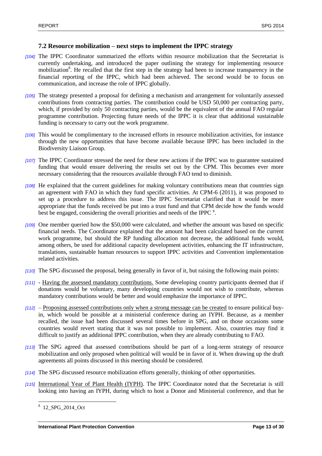### <span id="page-12-0"></span>**7.2 Resource mobilization – next steps to implement the IPPC strategy**

- *[104]* The IPPC Coordinator summarized the efforts within resource mobilization that the Secretariat is currently undertaking, and introduced the paper outlining the strategy for implementing resource mobilization<sup>8</sup>. He recalled that the first step in the strategy had been to increase transparency in the financial reporting of the IPPC, which had been achieved. The second would be to focus on communication, and increase the role of IPPC globally.
- *[105]* The strategy presented a proposal for defining a mechanism and arrangement for voluntarily assessed contributions from contracting parties. The contribution could be USD 50,000 per contracting party, which, if provided by only 50 contracting parties, would be the equivalent of the annual FAO regular programme contribution. Projecting future needs of the IPPC it is clear that additional sustainable funding is necessary to carry out the work programme.
- *[106]* This would be complimentary to the increased efforts in resource mobilization activities, for instance through the new opportunities that have become available because IPPC has been included in the Biodiversity Liaison Group.
- *[107]* The IPPC Coordinator stressed the need for these new actions if the IPPC was to guarantee sustained funding that would ensure delivering the results set out by the CPM. This becomes ever more necessary considering that the resources available through FAO tend to diminish.
- *[108]* He explained that the current guidelines for making voluntary contributions mean that countries sign an agreement with FAO in which they fund specific activities. At CPM-6 (2011), it was proposed to set up a procedure to address this issue. The IPPC Secretariat clarified that it would be more appropriate that the funds received be put into a trust fund and that CPM decide how the funds would best be engaged, considering the overall priorities and needs of the IPPC<sup>9</sup>.
- *[109]* One member queried how the \$50,000 were calculated, and whether the amount was based on specific financial needs. The Coordinator explained that the amount had been calculated based on the current work programme, but should the RP funding allocation not decrease, the additional funds would, among others, be used for additional capacity development activities, enhancing the IT infrastructure, translations, sustainable human resources to support IPPC activities and Convention implementation related activities.
- *[110]* The SPG discussed the proposal, being generally in favor of it, but raising the following main points:
- *[111]* Having the assessed mandatory contributions. Some developing country participants deemed that if donations would be voluntary, many developing countries would not wish to contribute, whereas mandatory contributions would be better and would emphasize the importance of IPPC.
- *[112]* Proposing assessed contributions only when a strong message can be created to ensure political buyin, which would be possible at a ministerial conference during an IYPH. Because, as a member recalled, the issue had been discussed several times before in SPG, and on those occasions some countries would revert stating that it was not possible to implement. Also, countries may find it difficult to justify an additional IPPC contribution, when they are already contributing to FAO.
- *[113]* The SPG agreed that assessed contributions should be part of a long-term strategy of resource mobilization and only proposed when political will would be in favor of it. When drawing up the draft agreements all points discussed in this meeting should be considered.
- *[114]* The SPG discussed resource mobilization efforts generally, thinking of other opportunities.
- *[115]* International Year of Plant Health (IYPH). The IPPC Coordinator noted that the Secretariat is still looking into having an IYPH, during which to host a Donor and Ministerial conference, and that he

 8 12\_SPG\_2014\_Oct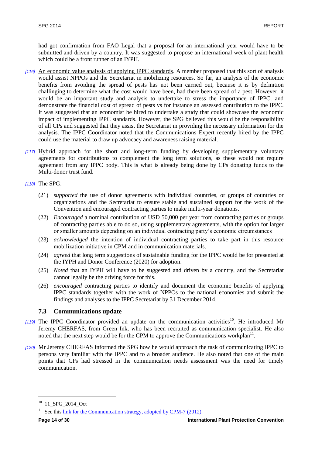had got confirmation from FAO Legal that a proposal for an international year would have to be submitted and driven by a country. It was suggested to propose an international week of plant health which could be a front runner of an IYPH.

- *[116]* An economic value analysis of applying IPPC standards. A member proposed that this sort of analysis would assist NPPOs and the Secretariat in mobilizing resources. So far, an analysis of the economic benefits from avoiding the spread of pests has not been carried out, because it is by definition challinging to determine what the cost would have been, had there been spread of a pest. However, it would be an important study and analysis to undertake to stress the importance of IPPC, and demonstrate the financial cost of spread of pests vs for instance an assessed contribution to the IPPC. It was suggested that an economist be hired to undertake a study that could showcase the economic impact of implementing IPPC standards. However, the SPG believed this would be the responsibility of all CPs and suggested that they assist the Secretariat in providing the necessary information for the analysis. The IPPC Coordinator noted that the Communications Expert recently hired by the IPPC could use the material to draw up advocacy and awareness raising material.
- *[117]* Hybrid approach for the short and long-term funding by developing supplementary voluntary agreements for contributions to complement the long term solutions, as these would not require agreement from any IPPC body. This is what is already being done by CPs donating funds to the Multi-donor trust fund.

## *[118]* The SPG:

- (21) *supported* the use of donor agreements with individual countries, or groups of countries or organizations and the Secretariat to ensure stable and sustained support for the work of the Convention and encouraged contracting parties to make multi-year donations.
- (22) *Encouraged* a nominal contribution of USD 50,000 per year from contracting parties or groups of contracting parties able to do so, using supplementary agreements, with the option for larger or smaller amounts depending on an individual contracting party's economic circumstances
- (23) *acknowledged* the intention of individual contracting parties to take part in this resource mobilization initiative in CPM and in communication materials.
- (24) *agreed* that long term suggestions of sustainable funding for the IPPC would be for presented at the IYPH and Donor Conference (2020) for adoption.
- (25) *Noted* that an IYPH will have to be suggested and driven by a country, and the Secretariat cannot legally be the driving force for this.
- (26) *encouraged* contracting parties to identify and document the economic benefits of applying IPPC standards together with the work of NPPOs to the national economies and submit the findings and analyses to the IPPC Secretariat by 31 December 2014.

## <span id="page-13-0"></span>**7.3 Communications update**

- $[119]$  The IPPC Coordinator provided an update on the communication activities<sup>10</sup>. He introduced Mr Jeremy CHERFAS, from Green Ink, who has been recruited as communication specialist. He also noted that the next step would be for the CPM to approve the Communications workplan<sup>11</sup>.
- *[120]* Mr Jeremy CHERFAS informed the SPG how he would approach the task of communicating IPPC to persons very familiar with the IPPC and to a broader audience. He also noted that one of the main points that CPs had stressed in the communication needs assessment was the need for timely communication.

l

<sup>10</sup> 11\_SPG\_2014\_Oct

<sup>&</sup>lt;sup>11</sup> See this [link for the Communication strategy, adopted by CPM-7 \(2012\)](file://hqfile1/agp/agpp/ippc/5CPM/Past%20Meetings_ICPM1_to_CPM8/CPM-7%20(2012)/WorkingPapers/6-FinalDocuments(including%20CRPs)/CPM_2012_CRP_10_CommunicationStrategy_2012-03-22.docx)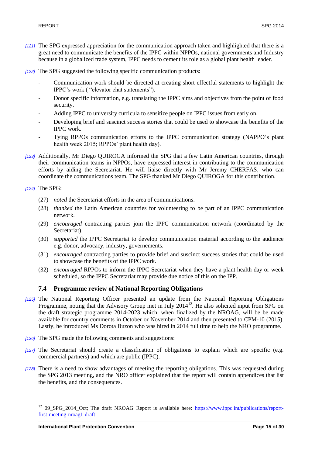- *[121]* The SPG expressed appreciation for the communication approach taken and highlighted that there is a great need to communicate the benefits of the IPPC within NPPOs, national governments and Industry because in a globalized trade system, IPPC needs to cement its role as a global plant health leader.
- *[122]* The SPG suggested the following specific communication products:
	- Communication work should be directed at creating short effectful statements to highlight the IPPC's work ( "elevator chat statements").
	- Donor specific information, e.g. translating the IPPC aims and objectives from the point of food security.
	- Adding IPPC to university curricula to sensitize people on IPPC issues from early on.
	- Developing brief and suscinct success stories that could be used to showcase the benefits of the IPPC work.
	- Tying RPPOs communication efforts to the IPPC communication strategy (NAPPO's plant health week 2015; RPPOs' plant health day).
- *[123]* Additionally, Mr Diego QUIROGA informed the SPG that a few Latin American countries, through their communication teams in NPPOs, have expressed interest in contributing to the communication efforts by aiding the Secretariat. He will liaise directly with Mr Jeremy CHERFAS, who can coordinate the communications team. The SPG thanked Mr Diego QUIROGA for this contribution.

#### *[124]* The SPG:

l

- (27) *noted* the Secretariat efforts in the area of communications.
- (28) *thanked* the Latin American countries for volunteering to be part of an IPPC communication network.
- (29) *encouraged* contracting parties join the IPPC communication network (coordinated by the Secretariat).
- (30) *supported* the IPPC Secretariat to develop communication material according to the audience e.g. donor, advocacy, industry, governements.
- (31) *encouraged* contracting parties to provide brief and suscinct success stories that could be used to showcase the benefits of the IPPC work.
- (32) *encouraged* RPPOs to inform the IPPC Secretariat when they have a plant health day or week scheduled, so the IPPC Secretariat may provide due notice of this on the IPP.

## <span id="page-14-0"></span>**7.4 Programme review of National Reporting Obligations**

- *[125]* The National Reporting Officer presented an update from the National Reporting Obligations Programme, noting that the Advisory Group met in July 2014<sup>12</sup>. He also solicited input from SPG on the draft strategic programme 2014-2023 which, when finalized by the NROAG, will be be made available for country comments in October or November 2014 and then presented to CPM-10 (2015). Lastly, he introduced Ms Dorota Buzon who was hired in 2014 full time to help the NRO programme.
- *[126]* The SPG made the following comments and suggestions:
- *[127]* The Secretariat should create a classification of obligations to explain which are specific (e.g. commercial partners) and which are public (IPPC).
- *[128]* There is a need to show advantages of meeting the reporting obligations. This was requested during the SPG 2013 meeting, and the NRO officer explained that the report will contain appendices that list the benefits, and the consequences.

<sup>&</sup>lt;sup>12</sup> 09\_SPG\_2014\_Oct; The draft NROAG Report is available here: [https://www.ippc.int/publications/report](https://www.ippc.int/publications/report-first-meeting-nroag1-draft)[first-meeting-nroag1-draft](https://www.ippc.int/publications/report-first-meeting-nroag1-draft)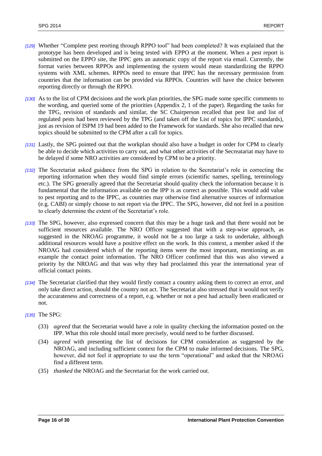- *[129]* Whether "Complete pest reorting through RPPO tool" had been completed? It was explained that the prototype has been developed and is being tested with EPPO at the moment. When a pest report is submitted on the EPPO site, the IPPC gets an automatic copy of the report via email. Currently, the format varies between RPPOs and implementing the system would mean standardizing the RPPO systems with XML schemes. RPPOs need to ensure that IPPC has the necessary permission from countries that the information can be provided via RPPOs. Countries will have the choice between reporting directly or through the RPPO.
- *[130]* As to the list of CPM decisions and the work plan priorities, the SPG made some specific comments to the wording, and queried some of the priorities (Appendix 2, 1 of the paper). Regarding the tasks for the TPG, revision of standards and similar, the SC Chairperson recalled that pest list and list of regulated pests had been reviewed by the TPG (and taken off the List of topics for IPPC standards), just as revision of ISPM 19 had been added to the Framework for standards. She also recalled that new topics should be submitted to the CPM after a call for topics.
- *[131]* Lastly, the SPG pointed out that the workplan should also have a budget in order for CPM to clearly be able to decide which activities to carry out, and what other activities of the Secreatariat may have to be delayed if some NRO activities are considered by CPM to be a priority.
- *[132]* The Secretariat asked guidance from the SPG in relation to the Secretariat's role in correcting the reporting information when they would find simple errors (scientific names, spelling, terminology etc.). The SPG generally agreed that the Secretariat should quality check the information because it is fundamental that the information available on the IPP is as correct as possible. This would add value to pest reporting and to the IPPC, as countries may otherwise find alternative sources of information (e.g. CABI) or simply choose to not report via the IPPC. The SPG, however, did not feel in a position to clearly determine the extent of the Secretariat's role.
- *[133]* The SPG, however, also expressed concern that this may be a huge task and that there would not be sufficient resources available. The NRO Officer suggested that with a step-wise approach, as suggested in the NROAG programme, it would not be a too large a task to undertake, although additional resources would have a positive effect on the work. In this context, a member asked if the NROAG had considered which of the reporting items were the most important, mentioning as an example the contact point information. The NRO Officer confirmed that this was also viewed a priority by the NROAG and that was why they had proclaimed this year the international year of official contact points.
- *[134]* The Secretariat clarified that they would firstly contact a country asking them to correct an error, and only take direct action, should the country not act. The Secretariat also stressed that it would not verify the accurateness and correctness of a report, e.g. whether or not a pest had actually been eradicated or not.
- *[135]* The SPG:
	- (33) *agreed* that the Secretariat would have a role in quality checking the information posted on the IPP. What this role should intail more precisely, would need to be further discussed.
	- (34) *agreed* with presenting the list of decisions for CPM consideration as suggested by the NROAG, and including sufficient context for the CPM to make informed decisions. The SPG, however, did not feel it appropriate to use the term "operational" and asked that the NROAG find a different term.
	- (35) *thanked* the NROAG and the Secretariat for the work carried out.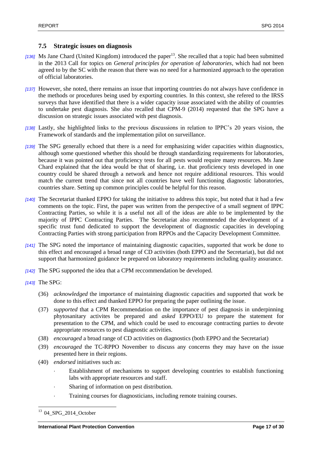# <span id="page-16-0"></span>**7.5 Strategic issues on diagnosis**

- [136] Ms Jane Chard (United Kingdom) introduced the paper<sup>13</sup>. She recalled that a topic had been submitted in the 2013 Call for topics on *General principles for operation of laboratories,* which had not been agreed to by the SC with the reason that there was no need for a harmonized approach to the operation of official laboratories.
- *[137]* However, she noted, there remains an issue that importing countries do not always have confidence in the methods or procedures being used by exporting countries. In this context, she refered to the IRSS surveys that have identified that there is a wider capacity issue associated with the ability of countries to undertake pest diagnosis. She also recalled that CPM-9 (2014) requested that the SPG have a discussion on strategic issues associated with pest diagnosis.
- *[138]* Lastly, she highlighted links to the previous discussions in relation to IPPC's 20 years vision, the Framework of standards and the implementation pilot on surveillance.
- *[139]* The SPG generally echoed that there is a need for emphasizing wider capacities within diagnostics, although some questioned whether this should be through standardizing requirements for laboratories, because it was pointed out that proficiency tests for all pests would require many resources. Ms Jane Chard explained that the idea would be that of sharing, i.e. that proficiency tests developed in one country could be shared through a network and hence not require additional resources. This would match the current trend that since not all countries have well functioning diagnostic laboratories, countries share. Setting up common principles could be helpful for this reason.
- *[140]* The Secretariat thanked EPPO for taking the initiative to address this topic, but noted that it had a few comments on the topic. First, the paper was written from the perspective of a small segment of IPPC Contracting Parties, so while it is a useful not all of the ideas are able to be implemented by the majority of IPPC Contracting Parties. The Secretariat also recommended the development of a specific trust fund dedicated to support the development of diagnostic capacities in developing Contracting Parties with strong participation from RPPOs and the Capacity Development Committee.
- *[141]* The SPG noted the importance of maintaining diagnostic capacities, supported that work be done to this effect and encouraged a broad range of CD activities (both EPPO and the Secretariat), but did not support that harmonized guidance be prepared on laboratory requirements including quality assurance.
- *[142]* The SPG supported the idea that a CPM reccommendation be developed.
- *[143]* The SPG:
	- (36) *acknowledged* the importance of maintaining diagnostic capacities and supported that work be done to this effect and thanked EPPO for preparing the paper outlining the issue.
	- (37) *supported* that a CPM Recommendation on the importance of pest diagnosis in underpinning phytosanitary activites be prepared and *asked* EPPO/EU to prepare the statement for presentation to the CPM, and which could be used to encourage contracting parties to devote appropriate resources to pest diagnostic activities.
	- (38) *encouraged* a broad range of CD activities on diagnostics (both EPPO and the Secretariat)
	- (39) *encouraged* the TC-RPPO November to discuss any concerns they may have on the issue presented here in their regions.
	- (40) *endorsed* initiatives such as:
		- Establishment of mechanisms to support developing countries to establish functioning labs with appropriate resources and staff.
		- Sharing of information on pest distribution.
		- Training courses for diagnosticians, including remote training courses.

 $\overline{a}$ <sup>13</sup> 04\_SPG\_2014\_October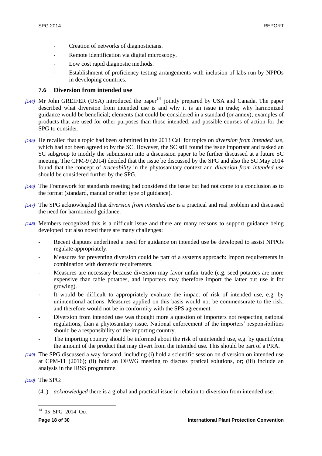- Creation of networks of diagnosticians.
- Remote identification via digital microscopy.
- Low cost rapid diagnostic methods.
- Establishment of proficiency testing arrangements with inclusion of labs run by NPPOs in developing countries.

# <span id="page-17-0"></span>**7.6 Diversion from intended use**

- [144] Mr John GREIFER (USA) introduced the paper<sup>14</sup> jointly prepared by USA and Canada. The paper described what diversion from intended use is and why it is an issue in trade; why harmonized guidance would be beneficial; elements that could be considered in a standard (or annex); examples of products that are used for other purposes than those intended; and possible courses of action for the SPG to consider.
- *[145]* He recalled that a topic had been submitted in the 2013 Call for topics on *diversion from intended use,* which had not been agreed to by the SC. However, the SC still found the issue important and tasked an SC subgroup to modify the submission into a discussion paper to be further discussed at a future SC meeting. The CPM-9 (2014) decided that the issue be discussed by the SPG and also the SC May 2014 found that the concept of *traceability* in the phytosanitary context and *diversion from intended use* should be considered further by the SPG.
- *[146]* The Framework for standards meeting had considered the issue but had not come to a conclusion as to the format (standard, manual or other type of guidance).
- *[147]* The SPG acknowlegded that *diversion from intended use* is a practical and real problem and discussed the need for harmonized guidance.
- *[148]* Members recognized this is a difficult issue and there are many reasons to support guidance being developed but also noted there are many challenges:
	- Recent disputes underlined a need for guidance on intended use be developed to assist NPPOs regulate appropriately.
	- Measures for preventing diversion could be part of a systems approach: Import requirements in combination with domestic requirements.
	- Measures are necessary because diversion may favor unfair trade (e.g. seed potatoes are more expensive than table potatoes, and importers may therefore import the latter but use it for growing).
	- It would be difficult to appropriately evaluate the impact of risk of intended use, e.g. by unintentional actions. Measures applied on this basis would not be commensurate to the risk, and therefore would not be in conformity with the SPS agreement.
	- Diversion from intended use was thought more a question of importers not respecting national regulations, than a phytosanitary issue. National enforcement of the importers' responsibilities should be a responsibility of the importing country.
	- The importing country should be informed about the risk of unintended use, e.g. by quantifying the amount of the product that may divert from the intended use. This should be part of a PRA.
- *[149]* The SPG discussed a way forward, including (i) hold a scientific session on diversion on intended use at CPM-11 (2016); (ii) hold an OEWG meeting to discuss pratical solutions, or; (iii) include an analysis in the IRSS programme.

## *[150]* The SPG:

(41) *acknowledged* there is a global and practical issue in relation to diversion from intended use.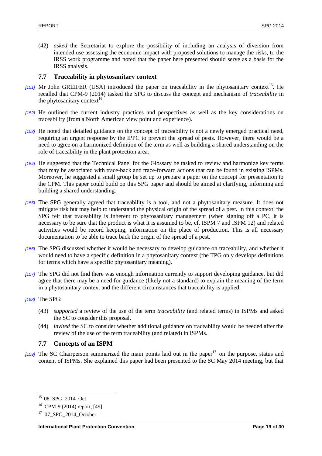(42) *asked* the Secretariat to explore the possibility of including an analysis of diversion from intended use assessing the economic impact with proposed solutions to manage the risks, to the IRSS work programme and noted that the paper here presented should serve as a basis for the IRSS analysis.

# <span id="page-18-0"></span>**7.7 Traceability in phytosanitary context**

- [151] Mr John GREIFER (USA) introduced the paper on traceability in the phytosanitary context<sup>15</sup>. He recalled that CPM-9 (2014) tasked the SPG to discuss the concept and mechanism of *traceability* in the phytosanitary context<sup>16</sup>.
- *[152]* He outlined the current industry practices and perspectives as well as the key considerations on traceability (from a North American view point and experience).
- *[153]* He noted that detailed guidance on the concept of traceability is not a newly emerged practical need, requiring an urgent response by the IPPC to prevent the spread of pests. However, there would be a need to agree on a harmonized definition of the term as well as building a shared understanding on the role of traceability in the plant protection area.
- *[154]* He suggested that the Technical Panel for the Glossary be tasked to review and harmonize key terms that may be associated with trace-back and trace-forward actions that can be found in existing ISPMs. Moreover, he suggested a small group be set up to prepare a paper on the concept for presentation to the CPM. This paper could build on this SPG paper and should be aimed at clarifying, informing and building a shared understanding.
- *[155]* The SPG generally agreed that traceability is a tool, and not a phytosanitary measure. It does not mitigate risk but may help to understand the physical origin of the spread of a pest. In this context, the SPG felt that traceability is inherent to phytosanitary management (when signing off a PC, it is necessary to be sure that the product is what it is assumed to be, cf. ISPM 7 and ISPM 12) and related activities would be record keeping, information on the place of production. This is all necessary documentation to be able to trace back the origin of the spread of a pest.
- *[156]* The SPG discussed whether it would be necessary to develop guidance on traceability, and whether it would need to have a specific definition in a phytosanitary context (the TPG only develops definitions for terms which have a specific phytosanitary meaning).
- *[157]* The SPG did not find there was enough information currently to support developing guidance, but did agree that there may be a need for guidance (likely not a standard) to explain the meaning of the term in a phytosanitary context and the different circumstances that traceability is applied.
- *[158]* The SPG:

l

- (43) *supported* a review of the use of the term *traceability* (and related terms) in ISPMs and asked the SC to consider this proposal.
- (44) *invited* the SC to consider whether additional guidance on traceability would be needed after the review of the use of the term traceability (and related) in ISPMs.

## <span id="page-18-1"></span>**7.7 Concepts of an ISPM**

 $[159]$  The SC Chairperson summarized the main points laid out in the paper<sup>17</sup> on the purpose, status and content of ISPMs. She explained this paper had been presented to the SC May 2014 meeting, but that

<sup>&</sup>lt;sup>15</sup> 08\_SPG\_2014\_Oct

<sup>16</sup> CPM-9 (2014) report, [49]

 $17$  07 SPG 2014 October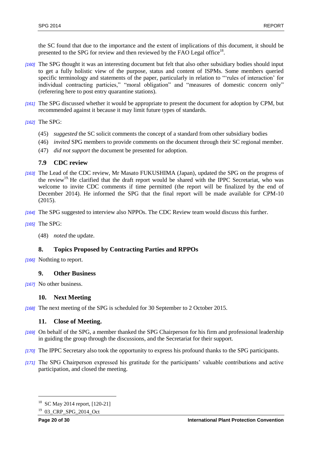the SC found that due to the importance and the extent of implications of this document, it should be presented to the SPG for review and then reviewed by the FAO Legal office<sup>18</sup>.

- *[160]* The SPG thought it was an interesting document but felt that also other subsidiary bodies should input to get a fully holistic view of the purpose, status and content of ISPMs. Some members queried specific terminology and statements of the paper, particularly in relation to "'rules of interaction' for individual contracting particies," "moral obligation" and "measures of domestic concern only" (referering here to post entry quarantine stations).
- *[161]* The SPG discussed whether it would be appropriate to present the document for adoption by CPM, but recommended against it because it may limit future types of standards.
- *[162]* The SPG:
	- (45) *suggested* the SC solicit comments the concept of a standard from other subsidiary bodies
	- (46) *invited* SPG members to provide comments on the document through their SC regional member.
	- (47) *did not support* the document be presented for adoption.

# <span id="page-19-0"></span>**7.9 CDC review**

- *[163]* The Lead of the CDC review, Mr Masato FUKUSHIMA (Japan), updated the SPG on the progress of the review<sup>19.</sup> He clarified that the draft report would be shared with the IPPC Secretariat, who was welcome to invite CDC comments if time permitted (the report will be finalized by the end of December 2014). He informed the SPG that the final report will be made available for CPM-10 (2015).
- *[164]* The SPG suggested to interview also NPPOs. The CDC Review team would discuss this further.
- *[165]* The SPG:
	- (48) *noted* the update.

## <span id="page-19-1"></span>**8. Topics Proposed by Contracting Parties and RPPOs**

*[166]* Nothting to report.

## <span id="page-19-2"></span>**9. Other Business**

*[167]* No other business.

## <span id="page-19-3"></span>**10. Next Meeting**

*[168]* The next meeting of the SPG is scheduled for 30 September to 2 October 2015.

## <span id="page-19-4"></span>**11. Close of Meeting.**

- *[169]* On behalf of the SPG, a member thanked the SPG Chairperson for his firm and professional leadership in guiding the group through the discussions, and the Secretariat for their support.
- *[170]* The IPPC Secretary also took the opportunity to express his profound thanks to the SPG participants.
- *[171]* The SPG Chairperson expressed his gratitude for the participants' valuable contributions and active participation, and closed the meeting.

l

<sup>18</sup> SC May 2014 report, [120-21]

<sup>&</sup>lt;sup>19</sup> 03 CRP SPG 2014 Oct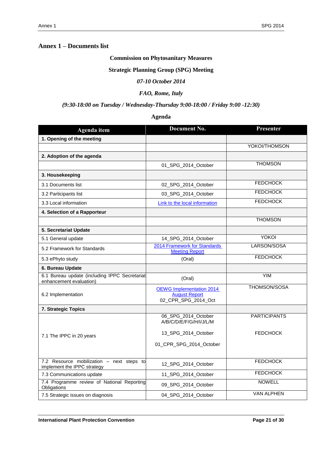# <span id="page-20-0"></span>**Annex 1 – Documents list**

# **Commission on Phytosanitary Measures**

### **Strategic Planning Group (SPG) Meeting**

### *07-10 October 2014*

# *FAO, Rome, Italy*

# *(9:30-18:00 on Tuesday / Wednesday-Thursday 9:00-18:00 / Friday 9:00 -12:30)*

# **Agenda**

| <b>Agenda</b> item                                                       | <b>Document No.</b>                                                            | Presenter           |
|--------------------------------------------------------------------------|--------------------------------------------------------------------------------|---------------------|
| 1. Opening of the meeting                                                |                                                                                |                     |
|                                                                          |                                                                                | YOKOI/THOMSON       |
| 2. Adoption of the agenda                                                |                                                                                |                     |
|                                                                          | 01 SPG 2014 October                                                            | <b>THOMSON</b>      |
| 3. Housekeeping                                                          |                                                                                |                     |
| 3.1 Documents list                                                       | 02_SPG_2014_October                                                            | <b>FEDCHOCK</b>     |
| 3.2 Participants list                                                    | 03_SPG_2014_October                                                            | <b>FEDCHOCK</b>     |
| 3.3 Local information                                                    | Link to the local information                                                  | <b>FEDCHOCK</b>     |
| 4. Selection of a Rapporteur                                             |                                                                                |                     |
|                                                                          |                                                                                | <b>THOMSON</b>      |
| 5. Secretariat Update                                                    |                                                                                |                     |
| 5.1 General update                                                       | 14_SPG_2014_October                                                            | YOKOI               |
| 5.2 Framework for Standards                                              | 2014 Framework for Standards<br><b>Meeting Report</b>                          | LARSON/SOSA         |
| 5.3 ePhyto study                                                         | (Oral)                                                                         | <b>FEDCHOCK</b>     |
| 6. Bureau Update                                                         |                                                                                |                     |
| 6.1 Bureau update (including IPPC Secretariat<br>enhancement evaluation) | (Oral)                                                                         | <b>YIM</b>          |
| 6.2 Implementation                                                       | <b>OEWG</b> Implementation 2014<br><b>August Report</b><br>02 CPR SPG 2014 Oct | THOMSON/SOSA        |
| 7. Strategic Topics                                                      |                                                                                |                     |
|                                                                          | 06_SPG_2014_October<br>A/B/C/D/E/F/G/H/I/J/L/M                                 | <b>PARTICIPANTS</b> |
| 7.1 The IPPC in 20 years                                                 | 13 SPG 2014 October                                                            | <b>FEDCHOCK</b>     |
|                                                                          | 01_CPR_SPG_2014_October                                                        |                     |
| 7.2 Resource mobilization - next steps to<br>implement the IPPC strategy | 12 SPG 2014 October                                                            | <b>FEDCHOCK</b>     |
| 7.3 Communications update                                                | 11_SPG_2014_October                                                            | <b>FEDCHOCK</b>     |
| 7.4 Programme review of National Reporting<br>Obligations                | 09_SPG_2014_October                                                            | <b>NOWELL</b>       |
| 7.5 Strategic issues on diagnosis                                        | 04_SPG_2014_October                                                            | <b>VAN ALPHEN</b>   |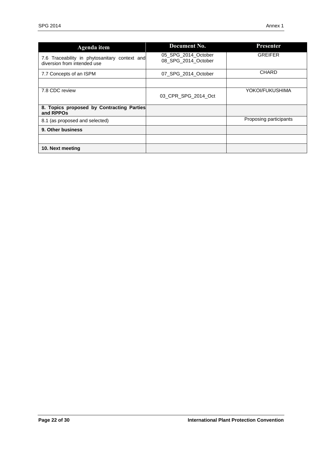| <b>Agenda</b> item                                                           | Document No.                               | <b>Presenter</b>       |
|------------------------------------------------------------------------------|--------------------------------------------|------------------------|
| 7.6 Traceability in phytosanitary context and<br>diversion from intended use | 05 SPG 2014 October<br>08 SPG 2014 October | <b>GREIFER</b>         |
| 7.7 Concepts of an ISPM                                                      | 07 SPG 2014 October                        | <b>CHARD</b>           |
|                                                                              |                                            |                        |
| 7.8 CDC review                                                               | 03 CPR SPG 2014 Oct                        | YOKOI/FUKUSHIMA        |
| 8. Topics proposed by Contracting Parties<br>and RPPOs                       |                                            |                        |
| 8.1 (as proposed and selected)                                               |                                            | Proposing participants |
| 9. Other business                                                            |                                            |                        |
|                                                                              |                                            |                        |
| 10. Next meeting                                                             |                                            |                        |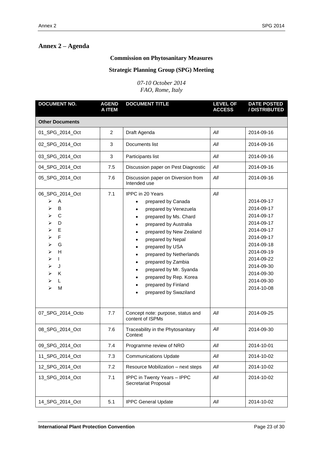# **Commission on Phytosanitary Measures**

# **Strategic Planning Group (SPG) Meeting**

*07-10 October 2014 FAO, Rome, Italy*

<span id="page-22-0"></span>

| <b>DOCUMENT NO.</b>                                                                                                       | <b>AGEND</b><br>A ITEM | <b>DOCUMENT TITLE</b>                                                                                                                                                                                                                                                                                                                                                                                                                       | <b>LEVEL OF</b><br><b>ACCESS</b> | <b>DATE POSTED</b><br>/ DISTRIBUTED                                                                                                                                                |
|---------------------------------------------------------------------------------------------------------------------------|------------------------|---------------------------------------------------------------------------------------------------------------------------------------------------------------------------------------------------------------------------------------------------------------------------------------------------------------------------------------------------------------------------------------------------------------------------------------------|----------------------------------|------------------------------------------------------------------------------------------------------------------------------------------------------------------------------------|
| <b>Other Documents</b>                                                                                                    |                        |                                                                                                                                                                                                                                                                                                                                                                                                                                             |                                  |                                                                                                                                                                                    |
| 01_SPG_2014_Oct                                                                                                           | $\overline{2}$         | Draft Agenda                                                                                                                                                                                                                                                                                                                                                                                                                                | All                              | 2014-09-16                                                                                                                                                                         |
| 02_SPG_2014_Oct                                                                                                           | 3                      | Documents list                                                                                                                                                                                                                                                                                                                                                                                                                              | All                              | 2014-09-16                                                                                                                                                                         |
| 03_SPG_2014_Oct                                                                                                           | 3                      | Participants list                                                                                                                                                                                                                                                                                                                                                                                                                           | All                              | 2014-09-16                                                                                                                                                                         |
| 04_SPG_2014_Oct                                                                                                           | 7.5                    | Discussion paper on Pest Diagnostic                                                                                                                                                                                                                                                                                                                                                                                                         | All                              | 2014-09-16                                                                                                                                                                         |
| 05_SPG_2014_Oct                                                                                                           | 7.6                    | Discussion paper on Diversion from<br>Intended use                                                                                                                                                                                                                                                                                                                                                                                          | All                              | 2014-09-16                                                                                                                                                                         |
| 06_SPG_2014_Oct<br>Α<br>➤<br>B<br>⋗<br>C<br>D<br>E<br>F<br>G<br>H<br>⋗<br>$\mathbf{I}$<br>➤<br>J<br>⋗<br>⋗<br>K<br>L<br>M | 7.1                    | <b>IPPC</b> in 20 Years<br>prepared by Canada<br>$\bullet$<br>prepared by Venezuela<br>$\bullet$<br>prepared by Ms. Chard<br>prepared by Australia<br>$\bullet$<br>prepared by New Zealand<br>$\bullet$<br>prepared by Nepal<br>prepared by USA<br>$\bullet$<br>prepared by Netherlands<br>$\bullet$<br>prepared by Zambia<br>prepared by Mr. Syanda<br>$\bullet$<br>prepared by Rep. Korea<br>prepared by Finland<br>prepared by Swaziland | All                              | 2014-09-17<br>2014-09-17<br>2014-09-17<br>2014-09-17<br>2014-09-17<br>2014-09-17<br>2014-09-18<br>2014-09-19<br>2014-09-22<br>2014-09-30<br>2014-09-30<br>2014-09-30<br>2014-10-08 |
| 07_SPG_2014_Octo                                                                                                          | 7.7                    | Concept note: purpose, status and<br>content of ISPMs                                                                                                                                                                                                                                                                                                                                                                                       | All                              | 2014-09-25                                                                                                                                                                         |
| 08 SPG 2014 Oct                                                                                                           | 7.6                    | Traceability in the Phytosanitary<br>Context                                                                                                                                                                                                                                                                                                                                                                                                | All                              | 2014-09-30                                                                                                                                                                         |
| 09_SPG_2014_Oct                                                                                                           | 7.4                    | Programme review of NRO                                                                                                                                                                                                                                                                                                                                                                                                                     | All                              | 2014-10-01                                                                                                                                                                         |
| 11_SPG_2014_Oct                                                                                                           | 7.3                    | <b>Communications Update</b>                                                                                                                                                                                                                                                                                                                                                                                                                | All                              | 2014-10-02                                                                                                                                                                         |
| 12_SPG_2014_Oct                                                                                                           | 7.2                    | Resource Mobilization - next steps                                                                                                                                                                                                                                                                                                                                                                                                          | All                              | 2014-10-02                                                                                                                                                                         |
| 13_SPG_2014_Oct                                                                                                           | 7.1                    | IPPC in Twenty Years - IPPC<br>Secretariat Proposal                                                                                                                                                                                                                                                                                                                                                                                         | All                              | 2014-10-02                                                                                                                                                                         |
| 14_SPG_2014_Oct                                                                                                           | 5.1                    | <b>IPPC General Update</b>                                                                                                                                                                                                                                                                                                                                                                                                                  | All                              | 2014-10-02                                                                                                                                                                         |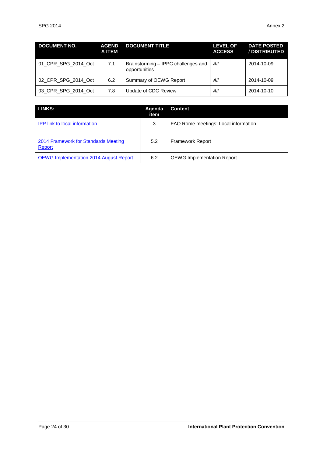| <b>DOCUMENT NO.</b> | <b>AGEND</b><br>A ITEM | <b>DOCUMENT TITLE</b>                                | <b>LEVEL OF</b><br><b>ACCESS</b> | <b>DATE POSTED</b><br>/ DISTRIBUTED |
|---------------------|------------------------|------------------------------------------------------|----------------------------------|-------------------------------------|
| 01 CPR SPG 2014 Oct | 7.1                    | Brainstorming - IPPC challenges and<br>opportunities | All                              | 2014-10-09                          |
| 02 CPR SPG 2014 Oct | 6.2                    | Summary of OEWG Report                               | All                              | 2014-10-09                          |
| 03 CPR SPG 2014 Oct | 7.8                    | Update of CDC Review                                 | All                              | 2014-10-10                          |

| <b>LINKS:</b>                                  | Agenda<br>item | <b>Content</b>                       |
|------------------------------------------------|----------------|--------------------------------------|
| <b>IPP</b> link to local information           | 3              | FAO Rome meetings: Local information |
| 2014 Framework for Standards Meeting<br>Report | 5.2            | <b>Framework Report</b>              |
| <b>OEWG Implementation 2014 August Report</b>  | 6.2            | <b>OEWG Implementation Report</b>    |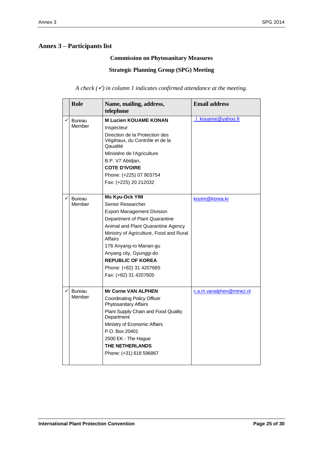# <span id="page-24-0"></span>**Annex 3 – Participants list**

# **Commission on Phytosanitary Measures**

**Strategic Planning Group (SPG) Meeting**

*A check () in column 1 indicates confirmed attendance at the meeting.* 

| <b>Role</b>             | Name, mailing, address,<br>telephone                                                                                                                                                                                                                                                                                                        | <b>Email address</b>            |
|-------------------------|---------------------------------------------------------------------------------------------------------------------------------------------------------------------------------------------------------------------------------------------------------------------------------------------------------------------------------------------|---------------------------------|
| <b>Bureau</b><br>Member | <b>M Lucien KOUAME KONAN</b><br>Inspecteur<br>Direction de la Protection des<br>Végétaux, du Contrôle et de la<br>Qaualité<br>Ministère de l'Agriculture<br>B.P. V7 Abidjan,<br><b>COTE D'IVOIRE</b><br>Phone: (+225) 07 903754<br>Fax: (+225) 20 212032                                                                                    | kouame@yahoo.fr<br>$\mathbf{I}$ |
| Bureau<br>Member        | Ms Kyu-Ock YIM<br>Senior Researcher<br><b>Export Management Division</b><br>Department of Plant Quarantine<br>Animal and Plant Quarantine Agency<br>Ministry of Agriculture, Food and Rural<br>Affairs<br>178 Anyang-ro Manan-gu<br>Anyang city, Gyunggi-do<br><b>REPUBLIC OF KOREA</b><br>Phone: (+82) 31 4207665<br>Fax: (+82) 31 4207605 | koyim@korea.kr                  |
| <b>Bureau</b><br>Member | <b>Mr Corne VAN ALPHEN</b><br><b>Coordinating Policy Officer</b><br>Phytosanitary Affairs<br>Plant Supply Chain and Food Quality<br>Department<br>Ministry of Economic Affairs<br>P.O. Box 20401<br>2500 EK - The Hague<br><b>THE NETHERLANDS</b><br>Phone: (+31) 618 596867                                                                | c.a.m.vanalphen@minez.nl        |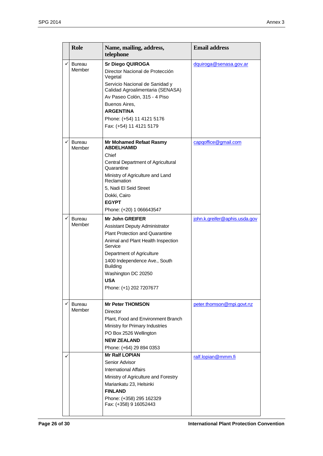|              | <b>Role</b>      | Name, mailing, address,<br>telephone                               | <b>Email address</b>          |
|--------------|------------------|--------------------------------------------------------------------|-------------------------------|
| ✓            | Bureau<br>Member | <b>Sr Diego QUIROGA</b>                                            | dquiroga@senasa.gov.ar        |
|              |                  | Director Nacional de Protección<br>Vegetal                         |                               |
|              |                  | Servicio Nacional de Sanidad y<br>Calidad Agroalimentaria (SENASA) |                               |
|              |                  | Av Paseo Colón, 315 - 4 Piso                                       |                               |
|              |                  | Buenos Aires,                                                      |                               |
|              |                  | <b>ARGENTINA</b>                                                   |                               |
|              |                  | Phone: (+54) 11 4121 5176                                          |                               |
|              |                  | Fax: (+54) 11 4121 5179                                            |                               |
| ✓            | Bureau<br>Member | <b>Mr Mohamed Refaat Rasmy</b><br><b>ABDELHAMID</b>                | capgoffice@gmail.com          |
|              |                  | Chief                                                              |                               |
|              |                  | Central Department of Agricultural<br>Quarantine                   |                               |
|              |                  | Ministry of Agriculture and Land<br>Reclamation                    |                               |
|              |                  | 5, Nadi El Seid Street                                             |                               |
|              |                  | Dokki, Cairo                                                       |                               |
|              |                  | <b>EGYPT</b>                                                       |                               |
|              |                  | Phone: (+20) 1 066643547                                           |                               |
| $\checkmark$ | <b>Bureau</b>    | <b>Mr John GREIFER</b>                                             | john.k.greifer@aphis.usda.gov |
|              | Member           | <b>Assistant Deputy Administrator</b>                              |                               |
|              |                  | <b>Plant Protection and Quarantine</b>                             |                               |
|              |                  | Animal and Plant Health Inspection<br>Service                      |                               |
|              |                  | Department of Agriculture                                          |                               |
|              |                  | 1400 Independence Ave., South<br><b>Building</b>                   |                               |
|              |                  | Washington DC 20250                                                |                               |
|              |                  | <b>USA</b>                                                         |                               |
|              |                  | Phone: (+1) 202 7207677                                            |                               |
| $\checkmark$ | Bureau           | <b>Mr Peter THOMSON</b>                                            | peter.thomson@mpi.govt.nz     |
|              | Member           | Director                                                           |                               |
|              |                  | Plant, Food and Environment Branch                                 |                               |
|              |                  | Ministry for Primary Industries                                    |                               |
|              |                  | PO Box 2526 Wellington                                             |                               |
|              |                  | <b>NEW ZEALAND</b>                                                 |                               |
|              |                  | Phone: (+64) 29 894 0353                                           |                               |
| ✓            |                  | <b>Mr Ralf LOPIAN</b>                                              | ralf.lopian@mmm.fi            |
|              |                  | Senior Advisor<br><b>International Affairs</b>                     |                               |
|              |                  | Ministry of Agriculture and Forestry                               |                               |
|              |                  | Mariankatu 23, Helsinki                                            |                               |
|              |                  | <b>FINLAND</b>                                                     |                               |
|              |                  | Phone: (+358) 295 162329                                           |                               |
|              |                  | Fax: (+358) 9 16052443                                             |                               |
|              |                  |                                                                    |                               |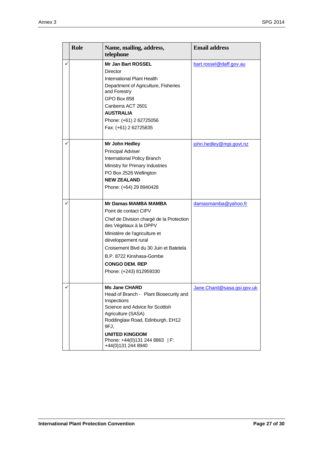|   | <b>Role</b> | Name, mailing, address,<br>telephone                                                                                                                                                                                                                                                                         | <b>Email address</b>       |
|---|-------------|--------------------------------------------------------------------------------------------------------------------------------------------------------------------------------------------------------------------------------------------------------------------------------------------------------------|----------------------------|
| ✓ |             | Mr Jan Bart ROSSEL<br>Director<br>International Plant Health<br>Department of Agriculture, Fisheries<br>and Forestry<br>GPO Box 858<br>Canberra ACT 2601<br><b>AUSTRALIA</b><br>Phone: (+61) 2 62725056<br>Fax: (+61) 2 62725835                                                                             | bart.rossel@daff.gov.au    |
|   |             | Mr John Hedley<br><b>Principal Adviser</b><br>International Policy Branch<br>Ministry for Primary Industries<br>PO Box 2526 Wellington<br><b>NEW ZEALAND</b><br>Phone: (+64) 29 8940428                                                                                                                      | john.hedley@mpi.govt.nz    |
|   |             | <b>Mr Damas MAMBA MAMBA</b><br>Point de contact CIPV<br>Chef de Division chargé de la Protection<br>des Végétaux à la DPPV<br>Ministère de l'agriculture et<br>développement rural<br>Croisement Blvd du 30 Juin et Batetela<br>B.P. 8722 Kinshasa-Gombe<br><b>CONGO DEM. REP</b><br>Phone: (+243) 812959330 | damasmamba@yahoo.fr        |
| ✓ |             | <b>Ms Jane CHARD</b><br>Head of Branch - Plant Biosecurity and<br>Inspections<br>Science and Advice for Scottish<br>Agriculture (SASA)<br>Roddinglaw Road, Edinburgh, EH12<br>9FJ,<br><b>UNITED KINGDOM</b><br>Phone: +44(0)131 244 8863   F:<br>+44(0)131 244 8940                                          | Jane.Chard@sasa.gsi.gov.uk |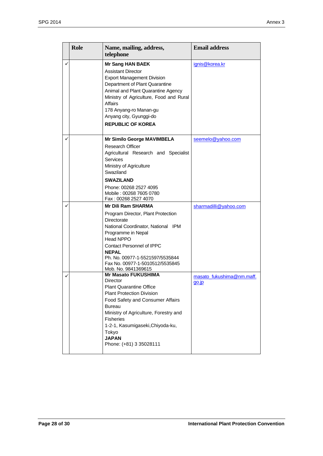|   | <b>Role</b> | Name, mailing, address,<br>telephone                                                                                                                                                                                                                                                                            | <b>Email address</b>                  |
|---|-------------|-----------------------------------------------------------------------------------------------------------------------------------------------------------------------------------------------------------------------------------------------------------------------------------------------------------------|---------------------------------------|
| ✓ |             | <b>Mr Sang HAN BAEK</b><br><b>Assistant Director</b><br><b>Export Management Division</b><br>Department of Plant Quarantine<br>Animal and Plant Quarantine Agency<br>Ministry of Agriculture, Food and Rural<br>Affairs<br>178 Anyang-ro Manan-gu<br>Anyang city, Gyunggi-do<br><b>REPUBLIC OF KOREA</b>        | ignis@korea.kr                        |
| ✓ |             | Mr Similo George MAVIMBELA<br><b>Research Officer</b><br>Agricultural Research and Specialist<br>Services<br>Ministry of Agriculture<br>Swaziland<br><b>SWAZILAND</b><br>Phone: 00268 2527 4095<br>Mobile: 00268 7605 0780<br>Fax: 00268 2527 4070                                                              | seemelo@yahoo.com                     |
| ✓ |             | <b>Mr Dili Ram SHARMA</b><br>Program Director, Plant Protection<br>Directorate<br>National Coordinator, National IPM<br>Programme in Nepal<br><b>Head NPPO</b><br><b>Contact Personnel of IPPC</b><br><b>NEPAL</b><br>Ph. No. 00977-1-5521597/5535844<br>Fax No. 00977-1-5010512/5535845<br>Mob. No. 9841369615 | sharmadilli@yahoo.com                 |
| ✓ |             | <b>Mr Masato FUKUSHIMA</b><br>Director<br><b>Plant Quarantine Office</b><br><b>Plant Protection Division</b><br>Food Safety and Consumer Affairs<br>Bureau<br>Ministry of Agriculture, Forestry and<br><b>Fisheries</b><br>1-2-1, Kasumigaseki, Chiyoda-ku,<br>Tokyo<br><b>JAPAN</b><br>Phone: (+81) 3 35028111 | masato fukushima@nm.maff.<br>$qo$ .jp |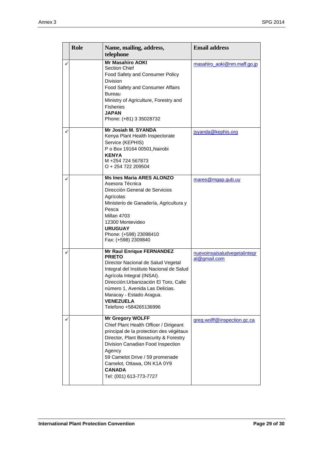| Role | Name, mailing, address,<br>telephone                                                                                                                                                                                                                                                                                     | <b>Email address</b>                         |
|------|--------------------------------------------------------------------------------------------------------------------------------------------------------------------------------------------------------------------------------------------------------------------------------------------------------------------------|----------------------------------------------|
|      | <b>Mr Masahiro AOKI</b><br><b>Section Chief</b><br>Food Safety and Consumer Policy<br><b>Division</b><br>Food Safety and Consumer Affairs<br>Bureau<br>Ministry of Agriculture, Forestry and<br><b>Fisheries</b><br><b>JAPAN</b><br>Phone: (+81) 3 35028732                                                              | masahiro aoki@nm.maff.go.jp                  |
|      | Mr Josiah M. SYANDA<br>Kenya Plant Health Inspectorate<br>Service (KEPHIS)<br>P o Box 19164 00501, Nairobi<br><b>KENYA</b><br>M +254 724 567873<br>O + 254 722 209504                                                                                                                                                    | jsyanda@kephis.org                           |
|      | <b>Ms Ines Maria ARES ALONZO</b><br>Asesora Técnica<br>Dirección General de Servicios<br>Agrícolas<br>Ministerio de Ganadería, Agricultura y<br>Pesca<br>Millan 4703<br>12300 Montevideo<br><b>URUGUAY</b><br>Phone: (+598) 23098410<br>Fax: (+598) 2309840                                                              | mares@mgap.gub.uy                            |
|      | <b>Mr Raul Enrique FERNANDEZ</b><br><b>PRIETO</b><br>Director Nacional de Salud Vegetal<br>Integral del Instituto Nacional de Salud<br>Agrícola Integral (INSAI).<br>Dirección: Urbanización El Toro, Calle<br>número 1, Avenida Las Delicias.<br>Maracay - Estado Aragua.<br><b>VENEZUELA</b><br>Telefono +584265136996 | nuevoinsaisaludvegetalintegr<br>al@gmail.com |
|      | <b>Mr Gregory WOLFF</b><br>Chief Plant Health Officer / Dirigeant<br>principal de la protection des végétaux<br>Director, Plant Biosecurity & Forestry<br>Division Canadian Food Inspection<br>Agency<br>59 Camelot Drive / 59 promenade<br>Camelot, Ottawa, ON K1A 0Y9<br><b>CANADA</b><br>Tel: (001) 613-773-7727      | greg.wolff@inspection.gc.ca                  |